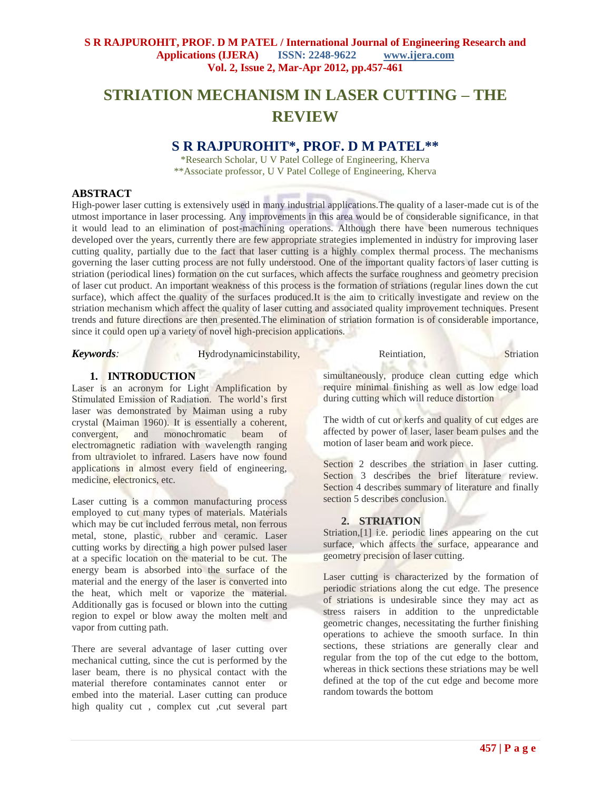# **STRIATION MECHANISM IN LASER CUTTING – THE REVIEW**

# **S R RAJPUROHIT\*, PROF. D M PATEL\*\***

\*Research Scholar, U V Patel College of Engineering, Kherva \*\*Associate professor, U V Patel College of Engineering, Kherva

### **ABSTRACT**

High-power laser cutting is extensively used in many industrial applications.The quality of a laser-made cut is of the utmost importance in laser processing. Any improvements in this area would be of considerable significance, in that it would lead to an elimination of post-machining operations. Although there have been numerous techniques developed over the years, currently there are few appropriate strategies implemented in industry for improving laser cutting quality, partially due to the fact that laser cutting is a highly complex thermal process. The mechanisms governing the laser cutting process are not fully understood. One of the important quality factors of laser cutting is striation (periodical lines) formation on the cut surfaces, which affects the surface roughness and geometry precision of laser cut product. An important weakness of this process is the formation of striations (regular lines down the cut surface), which affect the quality of the surfaces produced.It is the aim to critically investigate and review on the striation mechanism which affect the quality of laser cutting and associated quality improvement techniques. Present trends and future directions are then presented.The elimination of striation formation is of considerable importance, since it could open up a variety of novel high-precision applications.

*Keywords:* Hydrodynamicinstability, Reintiation, Striation, Striation, Striation, Striation, Striation, Striation, Striation, Striation, Striation, Striation, Striation, Striation, Striation, Striation, Striation, Stria

# **1. INTRODUCTION**

Laser is an acronym for Light Amplification by Stimulated Emission of Radiation. The world's first laser was demonstrated by Maiman using a ruby crystal (Maiman 1960). It is essentially a coherent, convergent, and monochromatic beam of electromagnetic radiation with wavelength ranging from ultraviolet to infrared. Lasers have now found applications in almost every field of engineering, medicine, electronics, etc.

Laser cutting is a common manufacturing process employed to cut many types of materials. Materials which may be cut included ferrous metal, non ferrous metal, stone, plastic, rubber and ceramic. Laser cutting works by directing a high power pulsed laser at a specific location on the material to be cut. The energy beam is absorbed into the surface of the material and the energy of the laser is converted into the heat, which melt or vaporize the material. Additionally gas is focused or blown into the cutting region to expel or blow away the molten melt and vapor from cutting path.

There are several advantage of laser cutting over mechanical cutting, since the cut is performed by the laser beam, there is no physical contact with the material therefore contaminates cannot enter or embed into the material. Laser cutting can produce high quality cut , complex cut ,cut several part

simultaneously, produce clean cutting edge which require minimal finishing as well as low edge load during cutting which will reduce distortion

The width of cut or kerfs and quality of cut edges are affected by power of laser, laser beam pulses and the motion of laser beam and work piece.

Section 2 describes the striation in laser cutting. Section 3 describes the brief literature review. Section 4 describes summary of literature and finally section 5 describes conclusion.

# **2. STRIATION**

Striation,[1] i.e. periodic lines appearing on the cut surface, which affects the surface, appearance and geometry precision of laser cutting.

Laser cutting is characterized by the formation of periodic striations along the cut edge. The presence of striations is undesirable since they may act as stress raisers in addition to the unpredictable geometric changes, necessitating the further finishing operations to achieve the smooth surface. In thin sections, these striations are generally clear and regular from the top of the cut edge to the bottom, whereas in thick sections these striations may be well defined at the top of the cut edge and become more random towards the bottom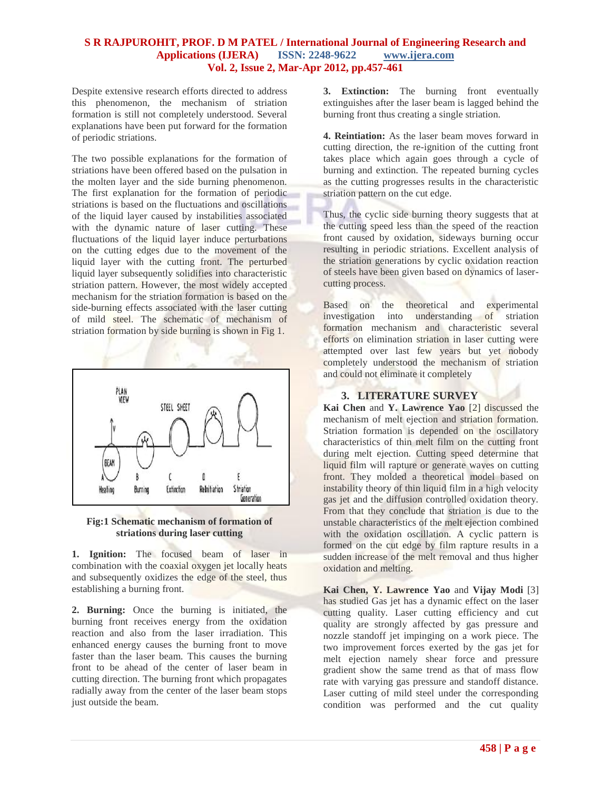Despite extensive research efforts directed to address this phenomenon, the mechanism of striation formation is still not completely understood. Several explanations have been put forward for the formation of periodic striations.

The two possible explanations for the formation of striations have been offered based on the pulsation in the molten layer and the side burning phenomenon. The first explanation for the formation of periodic striations is based on the fluctuations and oscillations of the liquid layer caused by instabilities associated with the dynamic nature of laser cutting. These fluctuations of the liquid layer induce perturbations on the cutting edges due to the movement of the liquid layer with the cutting front. The perturbed liquid layer subsequently solidifies into characteristic striation pattern. However, the most widely accepted mechanism for the striation formation is based on the side-burning effects associated with the laser cutting of mild steel. The schematic of mechanism of striation formation by side burning is shown in Fig 1.



#### **Fig:1 Schematic mechanism of formation of striations during laser cutting**

**1. Ignition:** The focused beam of laser in combination with the coaxial oxygen jet locally heats and subsequently oxidizes the edge of the steel, thus establishing a burning front.

**2. Burning:** Once the burning is initiated, the burning front receives energy from the oxidation reaction and also from the laser irradiation. This enhanced energy causes the burning front to move faster than the laser beam. This causes the burning front to be ahead of the center of laser beam in cutting direction. The burning front which propagates radially away from the center of the laser beam stops just outside the beam.

**3. Extinction:** The burning front eventually extinguishes after the laser beam is lagged behind the burning front thus creating a single striation.

**4. Reintiation:** As the laser beam moves forward in cutting direction, the re-ignition of the cutting front takes place which again goes through a cycle of burning and extinction. The repeated burning cycles as the cutting progresses results in the characteristic striation pattern on the cut edge.

Thus, the cyclic side burning theory suggests that at the cutting speed less than the speed of the reaction front caused by oxidation, sideways burning occur resulting in periodic striations. Excellent analysis of the striation generations by cyclic oxidation reaction of steels have been given based on dynamics of lasercutting process.

Based on the theoretical and experimental investigation into understanding of striation formation mechanism and characteristic several efforts on elimination striation in laser cutting were attempted over last few years but yet nobody completely understood the mechanism of striation and could not eliminate it completely

# **3. LITERATURE SURVEY**

**Kai Chen** and **Y. Lawrence Yao** [2] discussed the mechanism of melt ejection and striation formation. Striation formation is depended on the oscillatory characteristics of thin melt film on the cutting front during melt ejection. Cutting speed determine that liquid film will rapture or generate waves on cutting front. They molded a theoretical model based on instability theory of thin liquid film in a high velocity gas jet and the diffusion controlled oxidation theory. From that they conclude that striation is due to the unstable characteristics of the melt ejection combined with the oxidation oscillation. A cyclic pattern is formed on the cut edge by film rapture results in a sudden increase of the melt removal and thus higher oxidation and melting.

**Kai Chen, Y. Lawrence Yao** and **Vijay Modi** [3] has studied Gas jet has a dynamic effect on the laser cutting quality. Laser cutting efficiency and cut quality are strongly affected by gas pressure and nozzle standoff jet impinging on a work piece. The two improvement forces exerted by the gas jet for melt ejection namely shear force and pressure gradient show the same trend as that of mass flow rate with varying gas pressure and standoff distance. Laser cutting of mild steel under the corresponding condition was performed and the cut quality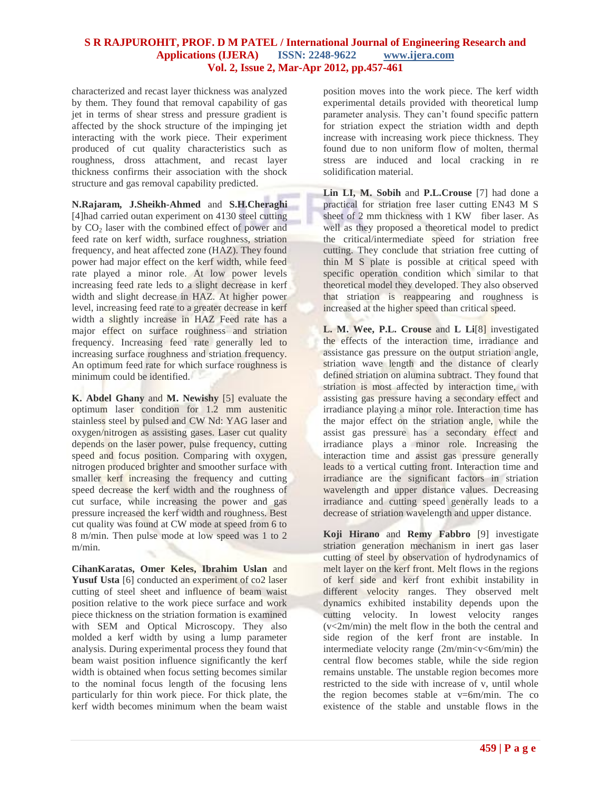characterized and recast layer thickness was analyzed by them. They found that removal capability of gas jet in terms of shear stress and pressure gradient is affected by the shock structure of the impinging jet interacting with the work piece. Their experiment produced of cut quality characteristics such as roughness, dross attachment, and recast layer thickness confirms their association with the shock structure and gas removal capability predicted.

**N.Rajaram, J.Sheikh-Ahmed** and **S.H.Cheraghi** [4]had carried outan experiment on 4130 steel cutting by  $CO<sub>2</sub>$  laser with the combined effect of power and feed rate on kerf width, surface roughness, striation frequency, and heat affected zone (HAZ). They found power had major effect on the kerf width, while feed rate played a minor role. At low power levels increasing feed rate leds to a slight decrease in kerf width and slight decrease in HAZ. At higher power level, increasing feed rate to a greater decrease in kerf width a slightly increase in HAZ Feed rate has a major effect on surface roughness and striation frequency. Increasing feed rate generally led to increasing surface roughness and striation frequency. An optimum feed rate for which surface roughness is minimum could be identified.

**K. Abdel Ghany** and **M. Newishy** [5] evaluate the optimum laser condition for 1.2 mm austenitic stainless steel by pulsed and CW Nd: YAG laser and oxygen/nitrogen as assisting gases. Laser cut quality depends on the laser power, pulse frequency, cutting speed and focus position. Comparing with oxygen, nitrogen produced brighter and smoother surface with smaller kerf increasing the frequency and cutting speed decrease the kerf width and the roughness of cut surface, while increasing the power and gas pressure increased the kerf width and roughness. Best cut quality was found at CW mode at speed from 6 to 8 m/min. Then pulse mode at low speed was 1 to 2 m/min.

**CihanKaratas, Omer Keles, Ibrahim Uslan** and Yusuf Usta [6] conducted an experiment of co2 laser cutting of steel sheet and influence of beam waist position relative to the work piece surface and work piece thickness on the striation formation is examined with SEM and Optical Microscopy. They also molded a kerf width by using a lump parameter analysis. During experimental process they found that beam waist position influence significantly the kerf width is obtained when focus setting becomes similar to the nominal focus length of the focusing lens particularly for thin work piece. For thick plate, the kerf width becomes minimum when the beam waist

position moves into the work piece. The kerf width experimental details provided with theoretical lump parameter analysis. They can't found specific pattern for striation expect the striation width and depth increase with increasing work piece thickness. They found due to non uniform flow of molten, thermal stress are induced and local cracking in re solidification material.

**Lin LI, M. Sobih** and **P.L.Crouse** [7] had done a practical for striation free laser cutting EN43 M S sheet of 2 mm thickness with 1 KW fiber laser. As well as they proposed a theoretical model to predict the critical/intermediate speed for striation free cutting. They conclude that striation free cutting of thin M S plate is possible at critical speed with specific operation condition which similar to that theoretical model they developed. They also observed that striation is reappearing and roughness is increased at the higher speed than critical speed.

**L. M. Wee, P.L. Crouse** and **L Li**[8] investigated the effects of the interaction time, irradiance and assistance gas pressure on the output striation angle, striation wave length and the distance of clearly defined striation on alumina subtract. They found that striation is most affected by interaction time, with assisting gas pressure having a secondary effect and irradiance playing a minor role. Interaction time has the major effect on the striation angle, while the assist gas pressure has a secondary effect and irradiance plays a minor role. Increasing the interaction time and assist gas pressure generally leads to a vertical cutting front. Interaction time and irradiance are the significant factors in striation wavelength and upper distance values. Decreasing irradiance and cutting speed generally leads to a decrease of striation wavelength and upper distance.

**Koji Hirano** and **Remy Fabbro** [9] investigate striation generation mechanism in inert gas laser cutting of steel by observation of hydrodynamics of melt layer on the kerf front. Melt flows in the regions of kerf side and kerf front exhibit instability in different velocity ranges. They observed melt dynamics exhibited instability depends upon the cutting velocity. In lowest velocity ranges (v<2m/min) the melt flow in the both the central and side region of the kerf front are instable. In intermediate velocity range (2m/min<v<6m/min) the central flow becomes stable, while the side region remains unstable. The unstable region becomes more restricted to the side with increase of v, until whole the region becomes stable at  $v=6m/min$ . The co existence of the stable and unstable flows in the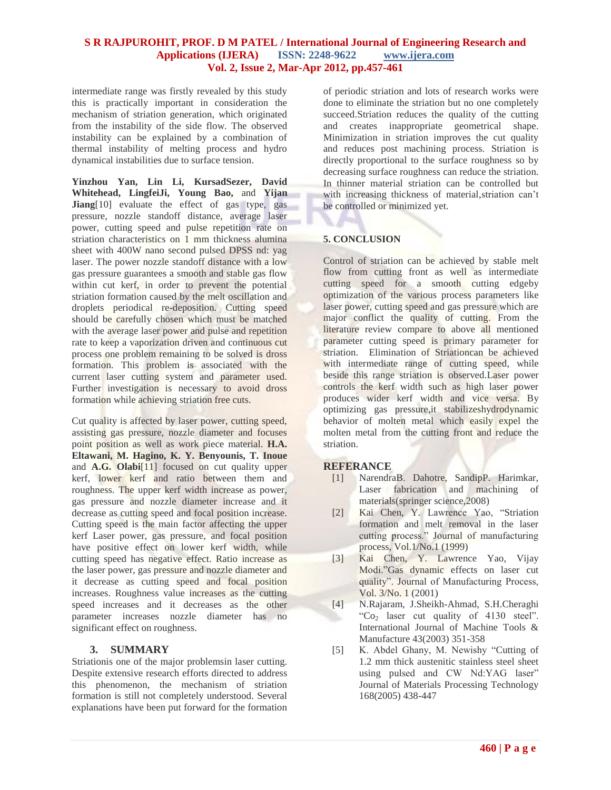intermediate range was firstly revealed by this study this is practically important in consideration the mechanism of striation generation, which originated from the instability of the side flow. The observed instability can be explained by a combination of thermal instability of melting process and hydro dynamical instabilities due to surface tension.

**Yinzhou Yan, Lin Li, KursadSezer, David Whitehead, LingfeiJi, Young Bao,** and **Yijan Jiang**<sup>[10]</sup> evaluate the effect of gas type, gas pressure, nozzle standoff distance, average laser power, cutting speed and pulse repetition rate on striation characteristics on 1 mm thickness alumina sheet with 400W nano second pulsed DPSS nd: yag laser. The power nozzle standoff distance with a low gas pressure guarantees a smooth and stable gas flow within cut kerf, in order to prevent the potential striation formation caused by the melt oscillation and droplets periodical re-deposition. Cutting speed should be carefully chosen which must be matched with the average laser power and pulse and repetition rate to keep a vaporization driven and continuous cut process one problem remaining to be solved is dross formation. This problem is associated with the current laser cutting system and parameter used. Further investigation is necessary to avoid dross formation while achieving striation free cuts.

Cut quality is affected by laser power, cutting speed, assisting gas pressure, nozzle diameter and focuses point position as well as work piece material. **H.A. Eltawani, M. Hagino, K. Y. Benyounis, T. Inoue** and **A.G. Olabi**[11] focused on cut quality upper kerf, lower kerf and ratio between them and roughness. The upper kerf width increase as power, gas pressure and nozzle diameter increase and it decrease as cutting speed and focal position increase. Cutting speed is the main factor affecting the upper kerf Laser power, gas pressure, and focal position have positive effect on lower kerf width, while cutting speed has negative effect. Ratio increase as the laser power, gas pressure and nozzle diameter and it decrease as cutting speed and focal position increases. Roughness value increases as the cutting speed increases and it decreases as the other parameter increases nozzle diameter has no significant effect on roughness.

# **3. SUMMARY**

Striationis one of the major problemsin laser cutting. Despite extensive research efforts directed to address this phenomenon, the mechanism of striation formation is still not completely understood. Several explanations have been put forward for the formation

of periodic striation and lots of research works were done to eliminate the striation but no one completely succeed.Striation reduces the quality of the cutting and creates inappropriate geometrical shape. Minimization in striation improves the cut quality and reduces post machining process. Striation is directly proportional to the surface roughness so by decreasing surface roughness can reduce the striation. In thinner material striation can be controlled but with increasing thickness of material,striation can't be controlled or minimized yet.

# **5. CONCLUSION**

Control of striation can be achieved by stable melt flow from cutting front as well as intermediate cutting speed for a smooth cutting edgeby optimization of the various process parameters like laser power, cutting speed and gas pressure which are major conflict the quality of cutting. From the literature review compare to above all mentioned parameter cutting speed is primary parameter for striation. Elimination of Striationcan be achieved with intermediate range of cutting speed, while beside this range striation is observed.Laser power controls the kerf width such as high laser power produces wider kerf width and vice versa. By optimizing gas pressure,it stabilizeshydrodynamic behavior of molten metal which easily expel the molten metal from the cutting front and reduce the striation.

#### **REFERANCE**

- [1] NarendraB. Dahotre, SandipP. Harimkar, Laser fabrication and machining of materials(springer science,2008)
- [2] Kai Chen, Y. Lawrence Yao, "Striation formation and melt removal in the laser cutting process." Journal of manufacturing process, Vol.1/No.1 (1999)
- [3] Kai Chen, Y. Lawrence Yao, Vijay Modi."Gas dynamic effects on laser cut quality". Journal of Manufacturing Process, Vol. 3/No. 1 (2001)
- [4] N.Rajaram, J.Sheikh-Ahmad, S.H.Cheraghi "Co<sub>2</sub> laser cut quality of  $4130$  steel". International Journal of Machine Tools & Manufacture 43(2003) 351-358
- [5] K. Abdel Ghany, M. Newishy "Cutting of 1.2 mm thick austenitic stainless steel sheet using pulsed and CW Nd:YAG laser" Journal of Materials Processing Technology 168(2005) 438-447